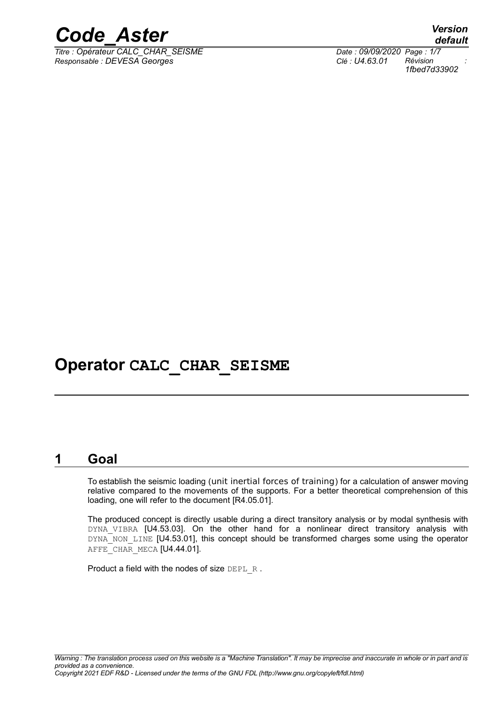

*Titre : Opérateur CALC\_CHAR\_SEISME Date : 09/09/2020 Page : 1/7 Responsable : DEVESA Georges Clé : U4.63.01 Révision :*

*default 1fbed7d33902*

## **Operator CALC\_CHAR\_SEISME**

#### **1 Goal**

To establish the seismic loading (unit inertial forces of training) for a calculation of answer moving relative compared to the movements of the supports. For a better theoretical comprehension of this loading, one will refer to the document [R4.05.01].

The produced concept is directly usable during a direct transitory analysis or by modal synthesis with DYNA VIBRA [U4.53.03]. On the other hand for a nonlinear direct transitory analysis with DYNA NON LINE [U4.53.01], this concept should be transformed charges some using the operator AFFE CHAR MECA [U4.44.01].

Product a field with the nodes of size DEPL R.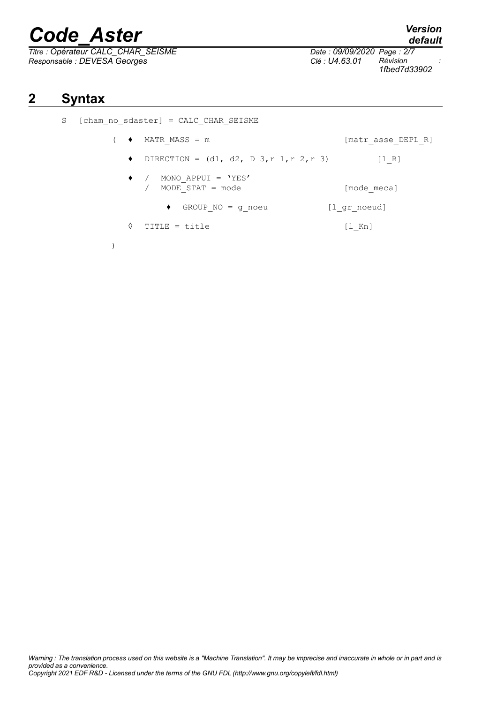*Titre : Opérateur CALC\_CHAR\_SEISME Date : 09/09/2020 Page : 2/7 Responsable : DEVESA Georges Clé : U4.63.01 Révision :*

*1fbed7d33902*

### **2 Syntax**

| S | $[cham no sdaster] = CALC CHAR SEISME$ |                                                         |                    |
|---|----------------------------------------|---------------------------------------------------------|--------------------|
|   | $\bullet$                              | MATR MASS = m                                           | [matr asse DEPL R] |
|   | ٠                                      | DIRECTION = $(d1, d2, D3, r1, r2, r3)$                  | [1 R]              |
|   |                                        | MONO APPUI = 'YES'<br>$\bullet$ /<br>MODE STAT $=$ mode | [mode meca]        |
|   |                                        | GROUP $NO = q$ noeu<br>٠                                | [l gr noeud]       |
|   | ♦                                      | TITLE = title                                           | $[1$ Kn]           |
|   |                                        |                                                         |                    |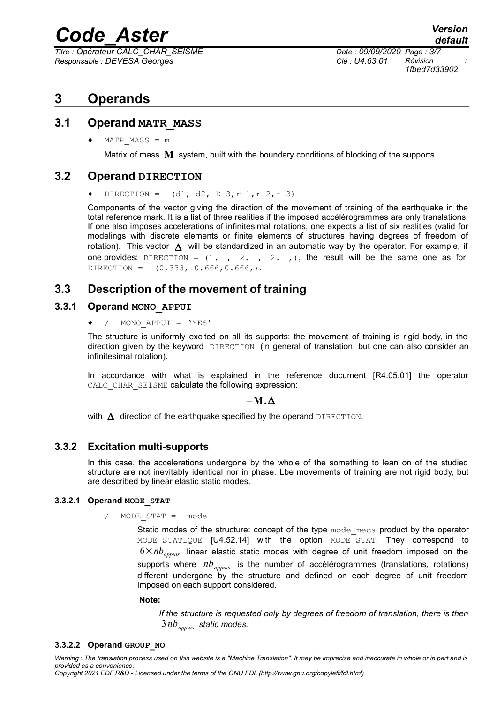*Titre : Opérateur CALC\_CHAR\_SEISME Date : 09/09/2020 Page : 3/7 Responsable : DEVESA Georges Clé : U4.63.01 Révision :*

*1fbed7d33902*

### **3 Operands**

#### **3.1 Operand MATR\_MASS**

 $MATR$   $MASS = m$ 

Matrix of mass **M** system, built with the boundary conditions of blocking of the supports.

#### **3.2 Operand DIRECTION**

DIRECTION =  $(d1, d2, D3, r1, r2, r3)$ 

Components of the vector giving the direction of the movement of training of the earthquake in the total reference mark. It is a list of three realities if the imposed accélérogrammes are only translations. If one also imposes accelerations of infinitesimal rotations, one expects a list of six realities (valid for modelings with discrete elements or finite elements of structures having degrees of freedom of rotation). This vector  $\triangle$  will be standardized in an automatic way by the operator. For example, if one provides:  $DIRECTION = (1. , 2. , 2. , 1)$ , the result will be the same one as for: DIRECTION =  $(0, 333, 0.666, 0.666)$ .

#### **3.3 Description of the movement of training**

#### **3.3.1 Operand MONO\_APPUI**

♦ / MONO\_APPUI = 'YES'

The structure is uniformly excited on all its supports: the movement of training is rigid body, in the direction given by the keyword DIRECTION (in general of translation, but one can also consider an infinitesimal rotation).

In accordance with what is explained in the reference document [R4.05.01] the operator CALC\_CHAR\_SEISME calculate the following expression:

#### −**M.**

with  $\Delta$  direction of the earthquake specified by the operand DIRECTION.

#### **3.3.2 Excitation multi-supports**

In this case, the accelerations undergone by the whole of the something to lean on of the studied structure are not inevitably identical nor in phase. Lbe movements of training are not rigid body, but are described by linear elastic static modes.

#### **3.3.2.1 Operand MODE\_STAT**

MODE STAT = mode

Static modes of the structure: concept of the type mode meca product by the operator MODE STATIQUE [U4.52.14] with the option MODE STAT. They correspond to  $6\times nb_{\text{apquis}}$  linear elastic static modes with degree of unit freedom imposed on the supports where *nbappuis* is the number of accélérogrammes (translations, rotations) different undergone by the structure and defined on each degree of unit freedom imposed on each support considered.

#### **Note:**

*If the structure is requested only by degrees of freedom of translation, there is then* 3*nbappuis static modes.*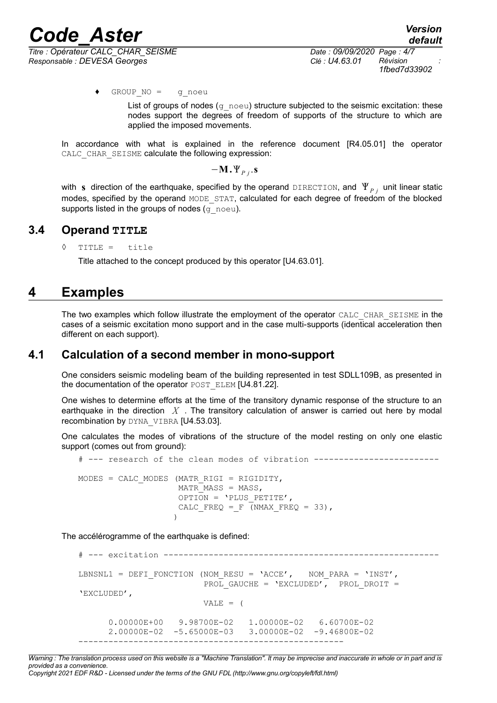*1fbed7d33902*

♦ GROUP\_NO = g\_noeu

List of groups of nodes ( $g$  noeu) structure subjected to the seismic excitation: these nodes support the degrees of freedom of supports of the structure to which are applied the imposed movements.

In accordance with what is explained in the reference document [R4.05.01] the operator CALC\_CHAR\_SEISME calculate the following expression:

 $-\mathbf{M}\cdot\Psi_{Pj}\cdot\mathbf{s}$ 

with s direction of the earthquake, specified by the operand DIRECTION, and  $\mathbf{\Psi}_{Pj}^{\top}$  unit linear static modes, specified by the operand MODE\_STAT, calculated for each degree of freedom of the blocked supports listed in the groups of nodes  $(q\text{ noeu})$ .

#### **3.4 Operand TITLE**

◊ TITLE = title

Title attached to the concept produced by this operator [U4.63.01].

### **4 Examples**

The two examples which follow illustrate the employment of the operator CALC\_CHAR\_SEISME in the cases of a seismic excitation mono support and in the case multi-supports (identical acceleration then different on each support).

#### **4.1 Calculation of a second member in mono-support**

One considers seismic modeling beam of the building represented in test SDLL109B, as presented in the documentation of the operator POST\_ELEM [U4.81.22].

One wishes to determine efforts at the time of the transitory dynamic response of the structure to an earthquake in the direction *X* . The transitory calculation of answer is carried out here by modal recombination by DYNA\_VIBRA [U4.53.03].

One calculates the modes of vibrations of the structure of the model resting on only one elastic support (comes out from ground):

# --- research of the clean modes of vibration ------------------------- MODES = CALC MODES (MATR RIGI = RIGIDITY, MATR MASS = MASS, OPTION =  $'$ PLUS PETITE', CALC FREQ = F (NMAX FREQ = 33), )

The accélérogramme of the earthquake is defined:

```
# --- excitation -------------------------------------------------------
LBNSNL1 = DEFI_FONCTION (NOM_RESU = 'ACCE', NOM_PARA = 'INST',
                        PROL GAUCHE = 'EXCLUDED', PROL DROIT =
'EXCLUDED',
                        VALE = (
       0.00000E+00 9.98700E-02 1.00000E-02 6.60700E-02 
       2.00000E-02 -5.65000E-03 3.00000E-02 -9.46800E-02 
-----------------------------------------------------
```
*Warning : The translation process used on this website is a "Machine Translation". It may be imprecise and inaccurate in whole or in part and is provided as a convenience. Copyright 2021 EDF R&D - Licensed under the terms of the GNU FDL (http://www.gnu.org/copyleft/fdl.html)*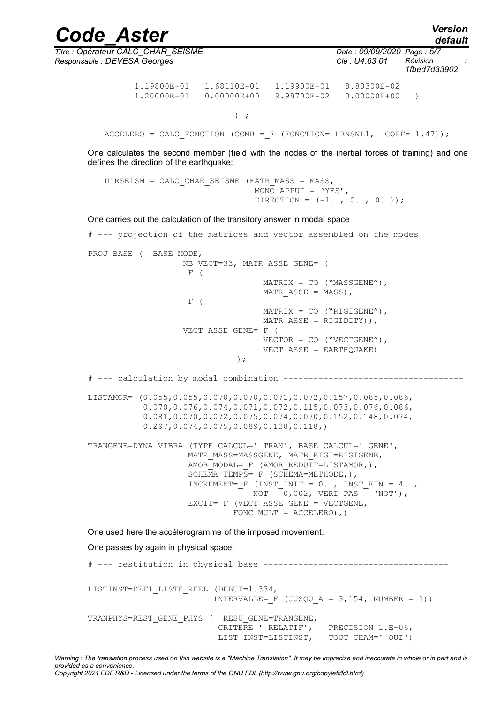*default*

*Code\_Aster Version Titre : Opérateur CALC\_CHAR\_SEISME Date : 09/09/2020 Page : 5/7*

*Responsable : DEVESA Georges Clé : U4.63.01 Révision : 1fbed7d33902*

> 1.19800E+01 1.68110E-01 1.19900E+01 8.80300E-02 1.20000E+01 0.00000E+00 9.98700E-02 0.00000E+00 )

 $)$  ;

ACCELERO = CALC FONCTION (COMB = F (FONCTION= LBNSNL1, COEF=  $1.47$ ));

One calculates the second member (field with the nodes of the inertial forces of training) and one defines the direction of the earthquake:

DIRSEISM = CALC CHAR SEISME (MATR MASS = MASS, MONO APPUI =  $'YES'$ , DIRECTION =  $(-1, 0, 0, 0)$ ;

One carries out the calculation of the transitory answer in modal space

# --- projection of the matrices and vector assembled on the modes PROJ BASE ( BASE=MODE, NB\_VECT=33, MATR\_ASSE\_GENE= ( \_F (  $MATRIX = CO (MASSGENE'')$ , MATR ASSE = MASS), \_F (  $MATRIX = CO ("RIGIGENE'')$ , MATR ASSE = RIGIDITY)), VECT\_ASSE\_GENE=\_F (  $VECTOR = CO (W VECTOR)$ , VECT ASSE = EARTHQUAKE) ); # --- calculation by modal combination ------------------------------------ LISTAMOR= (0.055,0.055,0.070,0.070,0.071,0.072,0.157,0.085,0.086, 0.070,0.076,0.074,0.071,0.072,0.115,0.073,0.076,0.086, 0.081,0.070,0.072,0.075,0.074,0.070,0.152,0.148,0.074, 0.297,0.074,0.075,0.089,0.138,0.118,) TRANGENE=DYNA\_VIBRA (TYPE\_CALCUL=' TRAN', BASE\_CALCUL=' GENE', MATR\_MASS=MASSGENE, MATR\_RIGI=RIGIGENE, AMOR\_MODAL=  $F$  (AMOR REDUIT=LISTAMOR,), SCHEMA TEMPS=  $F$  (SCHEMA=METHODE,), INCREMENT=  $F$  (INST INIT = 0. , INST FIN = 4. ,  $NOT = 0,002, VERI PAS = 'NOT'),$ EXCIT=  $F$  (VECT ASSE GENE = VECTGENE, FONC  $\overline{MULT}$  = ACCELERO), One used here the accélérogramme of the imposed movement. One passes by again in physical space: # --- restitution in physical base -------------------------------------

LISTINST=DEFI\_LISTE\_REEL (DEBUT=1.334, INTERVALLE=  $F$  (JUSQU A = 3,154, NUMBER = 1)) TRANPHYS=REST\_GENE\_PHYS ( RESU\_GENE=TRANGENE, CRITERE=' RELATIF', PRECISION=1.E-06, LIST\_INST=LISTINST, TOUT\_CHAM=' OUI')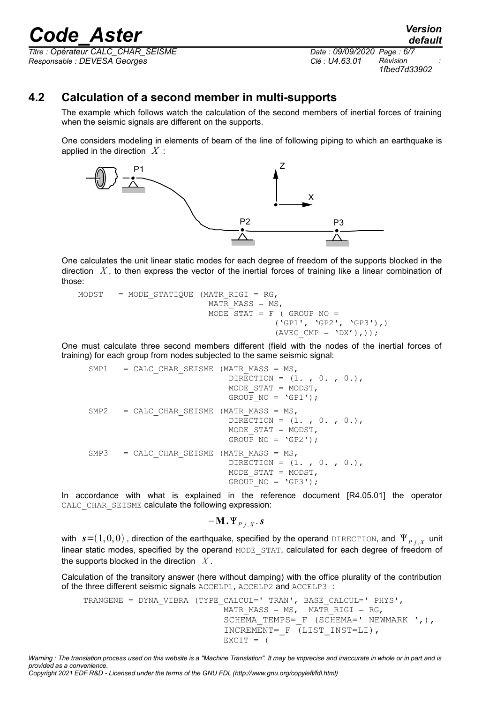*Titre : Opérateur CALC\_CHAR\_SEISME Date : 09/09/2020 Page : 6/7 Responsable : DEVESA Georges Clé : U4.63.01 Révision :*

*1fbed7d33902*

#### **4.2 Calculation of a second member in multi-supports**

The example which follows watch the calculation of the second members of inertial forces of training when the seismic signals are different on the supports.

One considers modeling in elements of beam of the line of following piping to which an earthquake is applied in the direction *X* :



One calculates the unit linear static modes for each degree of freedom of the supports blocked in the direction  $X$ , to then express the vector of the inertial forces of training like a linear combination of those:

```
MODST = MODE STATIQUE (MATR RIGI = RG,
                          MATR MASS = MS,
                          MODESTAT = F ( GROUP NO =
                                         ('GP1', 'GP2', 'GP3'),)
                                        (AVEC CMP = 'DX'),));
```
One must calculate three second members different (field with the nodes of the inertial forces of training) for each group from nodes subjected to the same seismic signal:

```
SMP1 = CALC CHAR SEISME (MATR MASS = MS,
                            DIRECTION = (1. , 0. , 0.), MODE_STAT = MODST,
                            GROUP NO = 'GPI');
SMP2 = CALC CHAR SEISME (MATR MASS = MS,DIRECTION = (1. , 0. , 0.), MODE_STAT = MODST,
                            GROUP NO = 'GP2');
SMP3 = CALC CHAR SEISME (MATR MASS = MS,
                            DIRECTION = (1. , 0. , 0.), MODE_STAT = MODST,
                            GROUP NO = 'GP3');
```
In accordance with what is explained in the reference document [R4.05.01] the operator CALC\_CHAR\_SEISME calculate the following expression:

 $-\mathbf{M} \cdot \Psi_{P,j,X} \cdot \mathbf{s}$ 

with  $\bm{s}{=}(1,0,0)$  , direction of the earthquake, specified by the operand <code>DIRECTION</code>, and  $\left.\Psi_{P\,j\,,\,X}\right.$  unit linear static modes, specified by the operand MODE\_STAT, calculated for each degree of freedom of the supports blocked in the direction *X* .

Calculation of the transitory answer (here without damping) with the office plurality of the contribution of the three different seismic signals ACCELP1, ACCELP2 and ACCELP3 :

```
TRANGENE = DYNA_VIBRA (TYPE_CALCUL=' TRAN', BASE_CALCUL=' PHYS',
                           MATR_MASS = MS, MATR_RIGI = RG,
                           SCHEMA TEMPS= F (SCHEMA=' NEWMARK ',),
                            INCREMENT=_F (LIST_INST=LI),
                           EXCIT = (
```
*Warning : The translation process used on this website is a "Machine Translation". It may be imprecise and inaccurate in whole or in part and is provided as a convenience.*

*default*

*Copyright 2021 EDF R&D - Licensed under the terms of the GNU FDL (http://www.gnu.org/copyleft/fdl.html)*